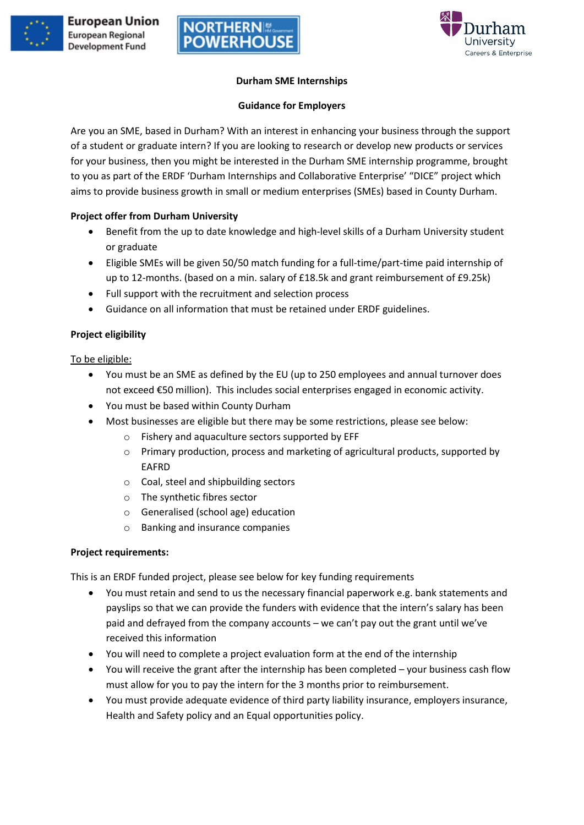



# **Durham SME Internships**

#### **Guidance for Employers**

Are you an SME, based in Durham? With an interest in enhancing your business through the support of a student or graduate intern? If you are looking to research or develop new products or services for your business, then you might be interested in the Durham SME internship programme, brought to you as part of the ERDF 'Durham Internships and Collaborative Enterprise' "DICE" project which aims to provide business growth in small or medium enterprises (SMEs) based in County Durham.

# **Project offer from Durham University**

- Benefit from the up to date knowledge and high-level skills of a Durham University student or graduate
- Eligible SMEs will be given 50/50 match funding for a full-time/part-time paid internship of up to 12-months. (based on a min. salary of £18.5k and grant reimbursement of £9.25k)
- Full support with the recruitment and selection process
- Guidance on all information that must be retained under ERDF guidelines.

# **Project eligibility**

To be eligible:

- You must be an SME as defined by the EU (up to 250 employees and annual turnover does not exceed €50 million). This includes social enterprises engaged in economic activity.
- You must be based within County Durham
- Most businesses are eligible but there may be some restrictions, please see below:
	- Fishery and aquaculture sectors supported by EFF
	- o Primary production, process and marketing of agricultural products, supported by EAFRD
	- o Coal, steel and shipbuilding sectors
	- o The synthetic fibres sector
	- o Generalised (school age) education
	- o Banking and insurance companies

### **Project requirements:**

This is an ERDF funded project, please see below for key funding requirements

- You must retain and send to us the necessary financial paperwork e.g. bank statements and payslips so that we can provide the funders with evidence that the intern's salary has been paid and defrayed from the company accounts – we can't pay out the grant until we've received this information
- You will need to complete a project evaluation form at the end of the internship
- You will receive the grant after the internship has been completed your business cash flow must allow for you to pay the intern for the 3 months prior to reimbursement.
- You must provide adequate evidence of third party liability insurance, employers insurance, Health and Safety policy and an Equal opportunities policy.